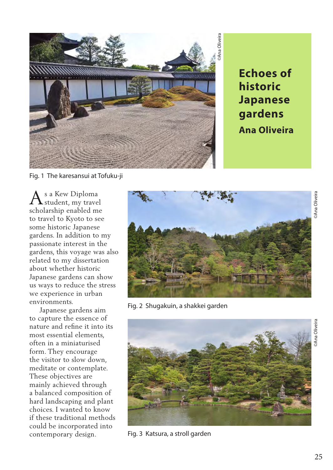

**historic Japanese gardens Ana Oliveira**

Fig. 1 The karesansui at Tofuku-ji

s a Kew Diploma student, my travel scholarship enabled me to travel to Kyoto to see some historic Japanese gardens. In addition to my passionate interest in the gardens, this voyage was also related to my dissertation about whether historic Japanese gardens can show us ways to reduce the stress we experience in urban environments. A

 Japanese gardens aim to capture the essence of nature and refine it into its most essential elements, often in a miniaturised form. They encourage the visitor to slow down, meditate or contemplate. These objectives are mainly achieved through a balanced composition of hard landscaping and plant choices. I wanted to know if these traditional methods could be incorporated into contemporary design.



Fig. 2 Shugakuin, a shakkei garden



Fig. 3 Katsura, a stroll garden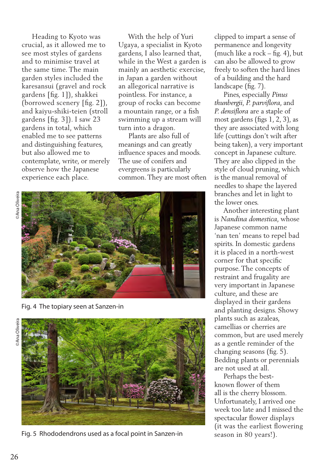Heading to Kyoto was crucial, as it allowed me to see most styles of gardens and to minimise travel at the same time. The main garden styles included the karesansui (gravel and rock gardens [fig. 1]), shakkei (borrowed scenery [fig. 2]), and kaiyu-shiki-teien (stroll gardens [fig. 3]). I saw 23 gardens in total, which enabled me to see patterns and distinguishing features, but also allowed me to contemplate, write, or merely observe how the Japanese experience each place.

 With the help of Yuri Ugaya, a specialist in Kyoto gardens, I also learned that, while in the West a garden is mainly an aesthetic exercise, in Japan a garden without an allegorical narrative is pointless. For instance, a group of rocks can become a mountain range, or a fish swimming up a stream will turn into a dragon.

 Plants are also full of meanings and can greatly influence spaces and moods. The use of conifers and evergreens is particularly common. They are most often



Fig. 4 The topiary seen at Sanzen-in



Fig. 5 Rhododendrons used as a focal point in Sanzen-in

clipped to impart a sense of permanence and longevity (much like a rock – fig. 4), but can also be allowed to grow freely to soften the hard lines of a building and the hard landscape (fig. 7).

 Pines, especially *Pinus thunbergii, P. parviflora*, and *P. densiflora* are a staple of most gardens (figs 1, 2, 3), as they are associated with long life (cuttings don't wilt after being taken), a very important concept in Japanese culture. They are also clipped in the style of cloud pruning, which is the manual removal of needles to shape the layered branches and let in light to the lower ones.

 Another interesting plant is *Nandina domestica*, whose Japanese common name 'nan ten' means to repel bad spirits. In domestic gardens it is placed in a north-west corner for that specific purpose. The concepts of restraint and frugality are very important in Japanese culture, and these are displayed in their gardens and planting designs. Showy plants such as azaleas, camellias or cherries are common, but are used merely as a gentle reminder of the changing seasons (fig. 5). Bedding plants or perennials are not used at all.

 Perhaps the bestknown flower of them all is the cherry blossom. Unfortunately, I arrived one week too late and I missed the spectacular flower displays (it was the earliest flowering season in 80 years!).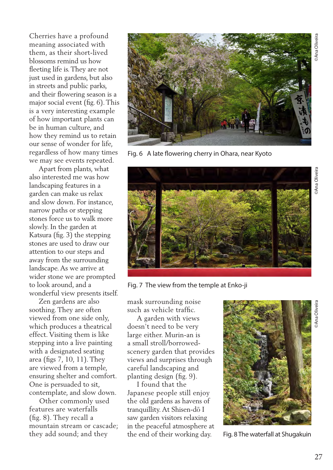Fig. 6 A late flowering cherry in Ohara, near Kyoto



Cherries have a profound meaning associated with them, as their short-lived blossoms remind us how fleeting life is. They are not just used in gardens, but also in streets and public parks, and their flowering season is a major social event (fig. 6). This is a very interesting example of how important plants can be in human culture, and how they remind us to retain our sense of wonder for life, regardless of how many times we may see events repeated.

 Zen gardens are also soothing. They are often viewed from one side only, which produces a theatrical effect. Visiting them is like stepping into a live painting with a designated seating area (figs 7, 10, 11). They are viewed from a temple, ensuring shelter and comfort. One is persuaded to sit, contemplate, and slow down.

 Other commonly used features are waterfalls (fig. 8). They recall a mountain stream or cascade; they add sound; and they



Fig. 7 The view from the temple at Enko-ji

mask surrounding noise such as vehicle traffic.

 A garden with views doesn't need to be very large either. Murin-an is a small stroll/borrowedscenery garden that provides views and surprises through careful landscaping and planting design (fig. 9).

 I found that the Japanese people still enjoy the old gardens as havens of tranquillity. At Shisen-dō I saw garden visitors relaxing in the peaceful atmosphere at the end of their working day.



Fig. 8 The waterfall at Shugakuin

©Ana Oliveira

Ana Oliveir